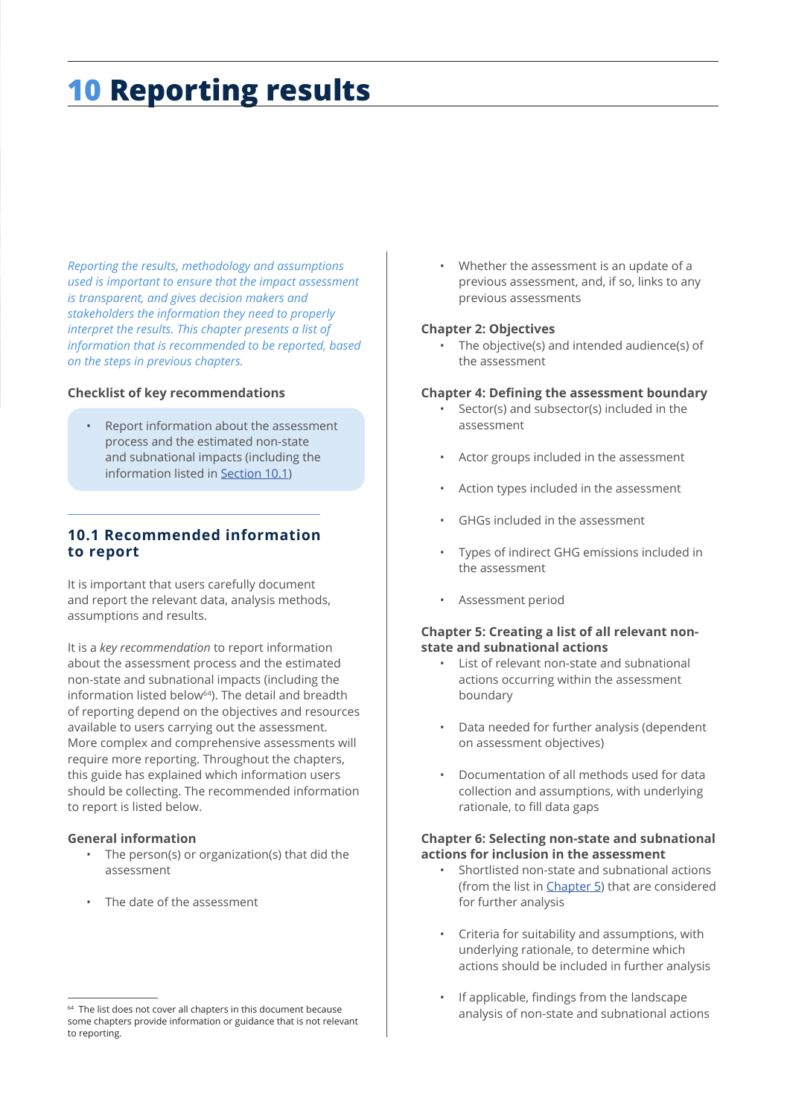# **10 Reporting results**

*Reporting the results, methodology and assumptions used is important to ensure that the impact assessment is transparent, and gives decision makers and stakeholders the information they need to properly interpret the results. This chapter presents a list of information that is recommended to be reported, based on the steps in previous chapters.* 

#### **Checklist of key recommendations**

• Report information about the assessment process and the estimated non-state and subnational impacts (including the information listed in Section 10.1)

# **10.1 Recommended information to report**

It is important that users carefully document and report the relevant data, analysis methods, assumptions and results.

It is a *key recommendation* to report information about the assessment process and the estimated non-state and subnational impacts (including the information listed below<sup>64</sup>). The detail and breadth of reporting depend on the objectives and resources available to users carrying out the assessment. More complex and comprehensive assessments will require more reporting. Throughout the chapters, this guide has explained which information users should be collecting. The recommended information to report is listed below.

#### **General information**

- The person(s) or organization(s) that did the assessment
- The date of the assessment

• Whether the assessment is an update of a previous assessment, and, if so, links to any previous assessments

#### **Chapter 2: Objectives**

• The objective(s) and intended audience(s) of the assessment

#### **Chapter 4: Defining the assessment boundary**

- Sector(s) and subsector(s) included in the assessment
- Actor groups included in the assessment
- Action types included in the assessment
- GHGs included in the assessment
- Types of indirect GHG emissions included in the assessment
- Assessment period

### **Chapter 5: Creating a list of all relevant nonstate and subnational actions**

- List of relevant non-state and subnational actions occurring within the assessment boundary
- Data needed for further analysis (dependent on assessment objectives)
- Documentation of all methods used for data collection and assumptions, with underlying rationale, to fill data gaps

#### **Chapter 6: Selecting non-state and subnational actions for inclusion in the assessment**

- Shortlisted non-state and subnational actions (from the list in Chapter 5) that are considered for further analysis
- Criteria for suitability and assumptions, with underlying rationale, to determine which actions should be included in further analysis
- If applicable, findings from the landscape analysis of non-state and subnational actions

<sup>&</sup>lt;sup>64</sup> The list does not cover all chapters in this document because some chapters provide information or guidance that is not relevant to reporting.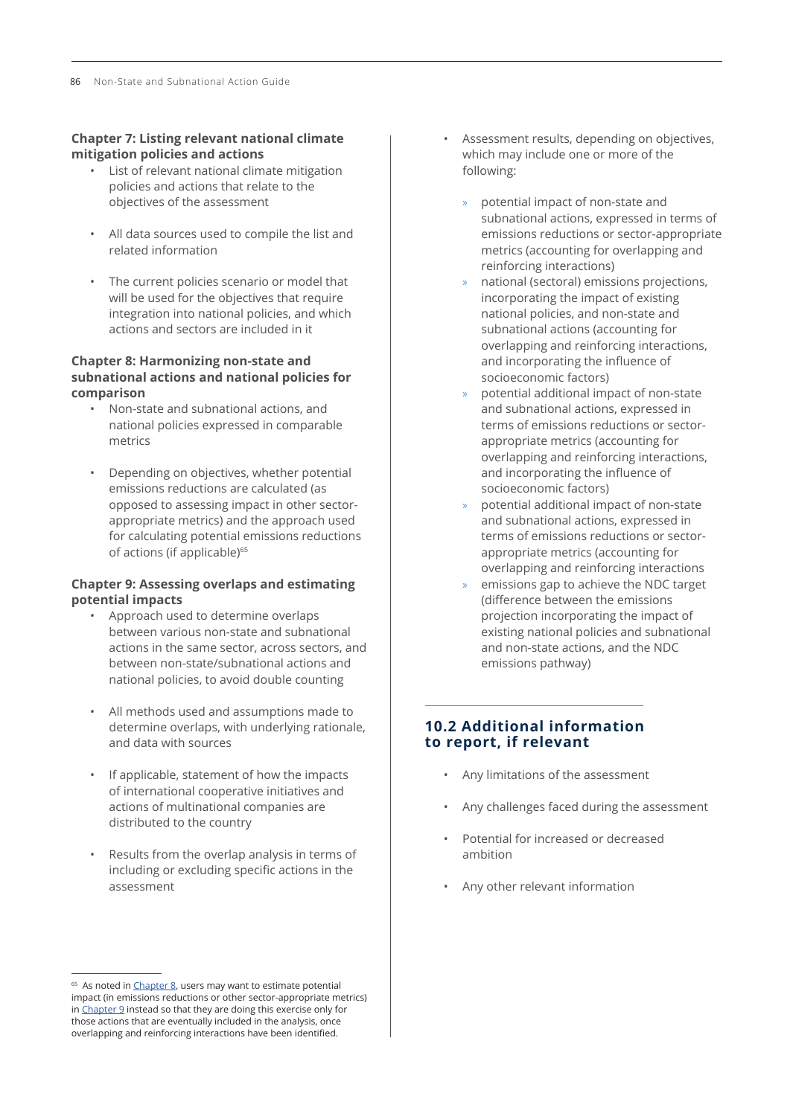#### **Chapter 7: Listing relevant national climate mitigation policies and actions**

- List of relevant national climate mitigation policies and actions that relate to the objectives of the assessment
- All data sources used to compile the list and related information
- The current policies scenario or model that will be used for the objectives that require integration into national policies, and which actions and sectors are included in it

#### **Chapter 8: Harmonizing non-state and subnational actions and national policies for comparison**

- Non-state and subnational actions, and national policies expressed in comparable metrics
- Depending on objectives, whether potential emissions reductions are calculated (as opposed to assessing impact in other sectorappropriate metrics) and the approach used for calculating potential emissions reductions of actions (if applicable)<sup>65</sup>

#### **Chapter 9: Assessing overlaps and estimating potential impacts**

- Approach used to determine overlaps between various non-state and subnational actions in the same sector, across sectors, and between non-state/subnational actions and national policies, to avoid double counting
- All methods used and assumptions made to determine overlaps, with underlying rationale, and data with sources
- If applicable, statement of how the impacts of international cooperative initiatives and actions of multinational companies are distributed to the country
- Results from the overlap analysis in terms of including or excluding specific actions in the assessment
- Assessment results, depending on objectives, which may include one or more of the following:
	- » potential impact of non-state and subnational actions, expressed in terms of emissions reductions or sector-appropriate metrics (accounting for overlapping and reinforcing interactions)
	- » national (sectoral) emissions projections, incorporating the impact of existing national policies, and non-state and subnational actions (accounting for overlapping and reinforcing interactions, and incorporating the influence of socioeconomic factors)
	- » potential additional impact of non-state and subnational actions, expressed in terms of emissions reductions or sectorappropriate metrics (accounting for overlapping and reinforcing interactions, and incorporating the influence of socioeconomic factors)
	- » potential additional impact of non-state and subnational actions, expressed in terms of emissions reductions or sectorappropriate metrics (accounting for overlapping and reinforcing interactions
	- » emissions gap to achieve the NDC target (difference between the emissions projection incorporating the impact of existing national policies and subnational and non-state actions, and the NDC emissions pathway)

# **10.2 Additional information to report, if relevant**

- Any limitations of the assessment
- Any challenges faced during the assessment
- Potential for increased or decreased ambition
- Any other relevant information

<sup>&</sup>lt;sup>65</sup> As noted in *Chapter 8*, users may want to estimate potential impact (in emissions reductions or other sector-appropriate metrics) in Chapter 9 instead so that they are doing this exercise only for those actions that are eventually included in the analysis, once overlapping and reinforcing interactions have been identified.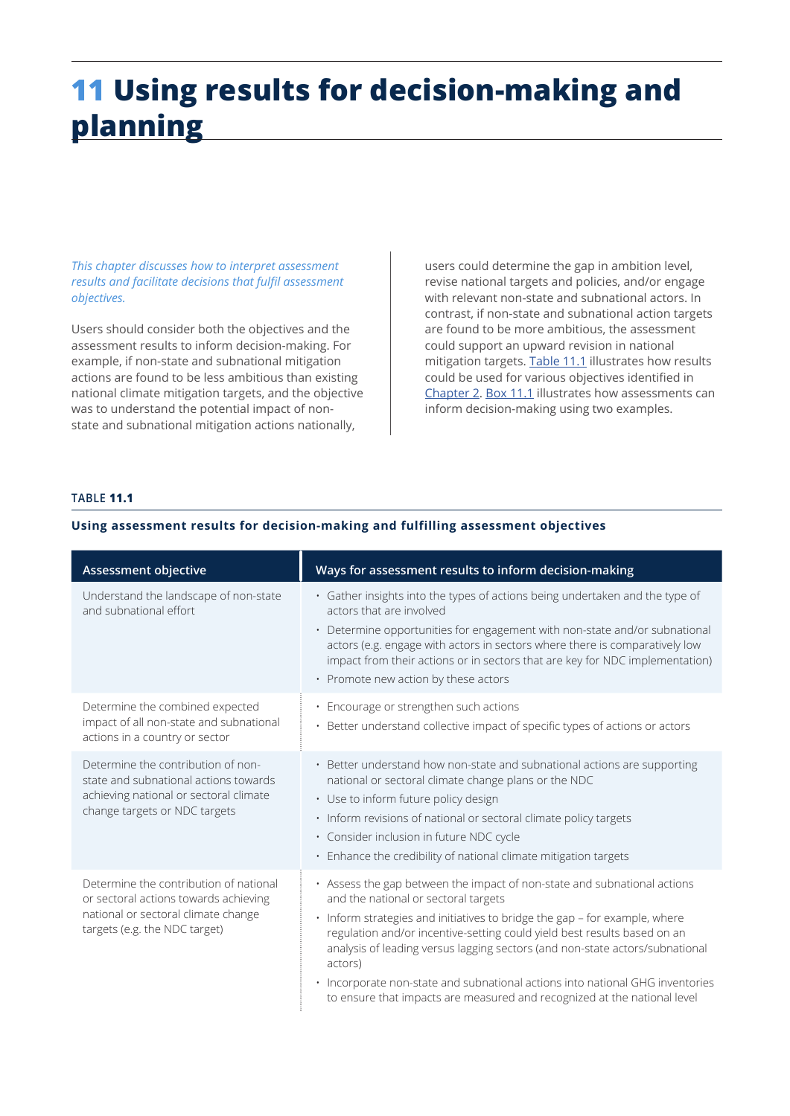# **11 Using results for decision-making and planning**

*This chapter discusses how to interpret assessment results and facilitate decisions that fulfil assessment objectives.* 

Users should consider both the objectives and the assessment results to inform decision-making. For example, if non-state and subnational mitigation actions are found to be less ambitious than existing national climate mitigation targets, and the objective was to understand the potential impact of nonstate and subnational mitigation actions nationally,

users could determine the gap in ambition level, revise national targets and policies, and/or engage with relevant non-state and subnational actors. In contrast, if non-state and subnational action targets are found to be more ambitious, the assessment could support an upward revision in national mitigation targets. Table 11.1 illustrates how results could be used for various objectives identified in Chapter 2. [Box 11](#page-4-0).1 illustrates how assessments can inform decision-making using two examples.

### **TABLE 11.1**

| Assessment objective                                                                                                                                    | Ways for assessment results to inform decision-making                                                                                                                                                                                                                                                                                                                                                                                                                                                                              |
|---------------------------------------------------------------------------------------------------------------------------------------------------------|------------------------------------------------------------------------------------------------------------------------------------------------------------------------------------------------------------------------------------------------------------------------------------------------------------------------------------------------------------------------------------------------------------------------------------------------------------------------------------------------------------------------------------|
| Understand the landscape of non-state<br>and subnational effort                                                                                         | · Gather insights into the types of actions being undertaken and the type of<br>actors that are involved<br>• Determine opportunities for engagement with non-state and/or subnational<br>actors (e.g. engage with actors in sectors where there is comparatively low<br>impact from their actions or in sectors that are key for NDC implementation)<br>• Promote new action by these actors                                                                                                                                      |
| Determine the combined expected<br>impact of all non-state and subnational<br>actions in a country or sector                                            | • Encourage or strengthen such actions<br>• Better understand collective impact of specific types of actions or actors                                                                                                                                                                                                                                                                                                                                                                                                             |
| Determine the contribution of non-<br>state and subnational actions towards<br>achieving national or sectoral climate<br>change targets or NDC targets  | • Better understand how non-state and subnational actions are supporting<br>national or sectoral climate change plans or the NDC<br>• Use to inform future policy design<br>. Inform revisions of national or sectoral climate policy targets<br>· Consider inclusion in future NDC cycle<br>• Enhance the credibility of national climate mitigation targets                                                                                                                                                                      |
| Determine the contribution of national<br>or sectoral actions towards achieving<br>national or sectoral climate change<br>targets (e.g. the NDC target) | · Assess the gap between the impact of non-state and subnational actions<br>and the national or sectoral targets<br>· Inform strategies and initiatives to bridge the gap - for example, where<br>regulation and/or incentive-setting could yield best results based on an<br>analysis of leading versus lagging sectors (and non-state actors/subnational<br>actors)<br>• Incorporate non-state and subnational actions into national GHG inventories<br>to ensure that impacts are measured and recognized at the national level |

## **Using assessment results for decision-making and fulfilling assessment objectives**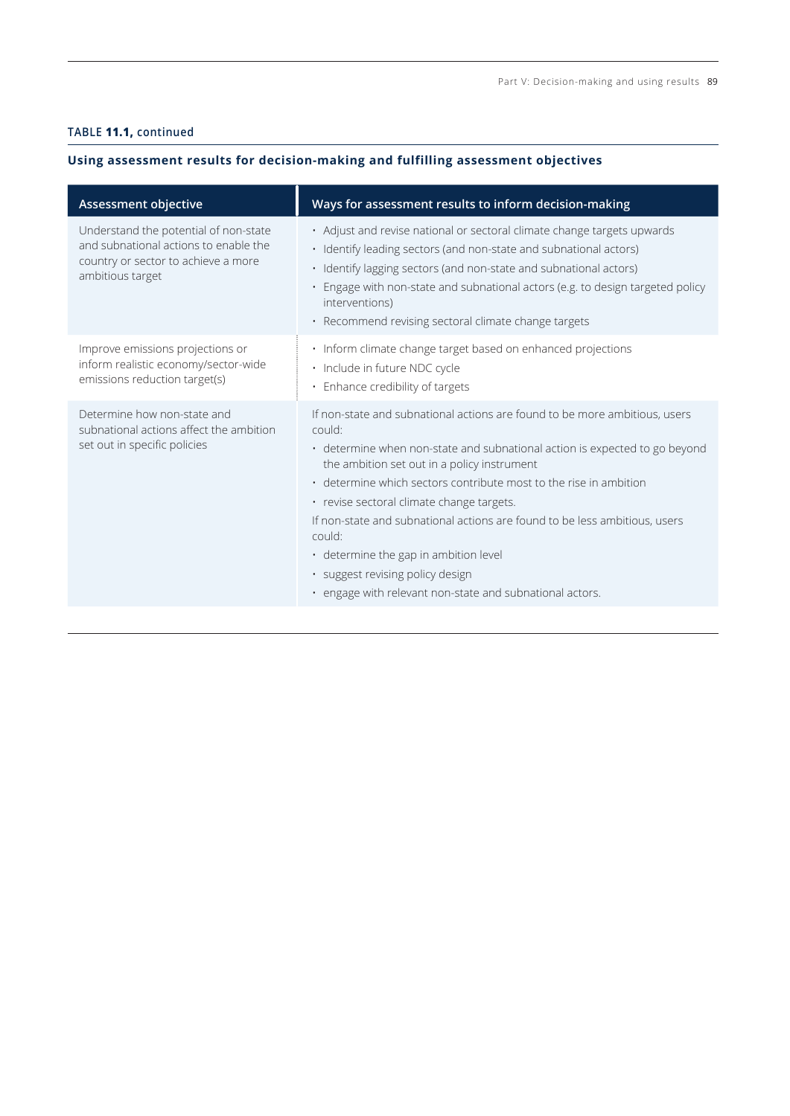# **TABLE 11.1, continued**

# **Using assessment results for decision-making and fulfilling assessment objectives**

| Assessment objective                                                                                                                      | Ways for assessment results to inform decision-making                                                                                                                                                                                                                                                                                                                                                                                                                                                                                                                |
|-------------------------------------------------------------------------------------------------------------------------------------------|----------------------------------------------------------------------------------------------------------------------------------------------------------------------------------------------------------------------------------------------------------------------------------------------------------------------------------------------------------------------------------------------------------------------------------------------------------------------------------------------------------------------------------------------------------------------|
| Understand the potential of non-state<br>and subnational actions to enable the<br>country or sector to achieve a more<br>ambitious target | • Adjust and revise national or sectoral climate change targets upwards<br>· Identify leading sectors (and non-state and subnational actors)<br>· Identify lagging sectors (and non-state and subnational actors)<br>· Engage with non-state and subnational actors (e.g. to design targeted policy<br>interventions)<br>· Recommend revising sectoral climate change targets                                                                                                                                                                                        |
| Improve emissions projections or<br>inform realistic economy/sector-wide<br>emissions reduction target(s)                                 | · Inform climate change target based on enhanced projections<br>· Include in future NDC cycle<br>• Enhance credibility of targets                                                                                                                                                                                                                                                                                                                                                                                                                                    |
| Determine how non-state and<br>subnational actions affect the ambition<br>set out in specific policies                                    | If non-state and subnational actions are found to be more ambitious, users<br>could:<br>• determine when non-state and subnational action is expected to go beyond<br>the ambition set out in a policy instrument<br>• determine which sectors contribute most to the rise in ambition<br>· revise sectoral climate change targets.<br>If non-state and subnational actions are found to be less ambitious, users<br>could:<br>· determine the gap in ambition level<br>· suggest revising policy design<br>· engage with relevant non-state and subnational actors. |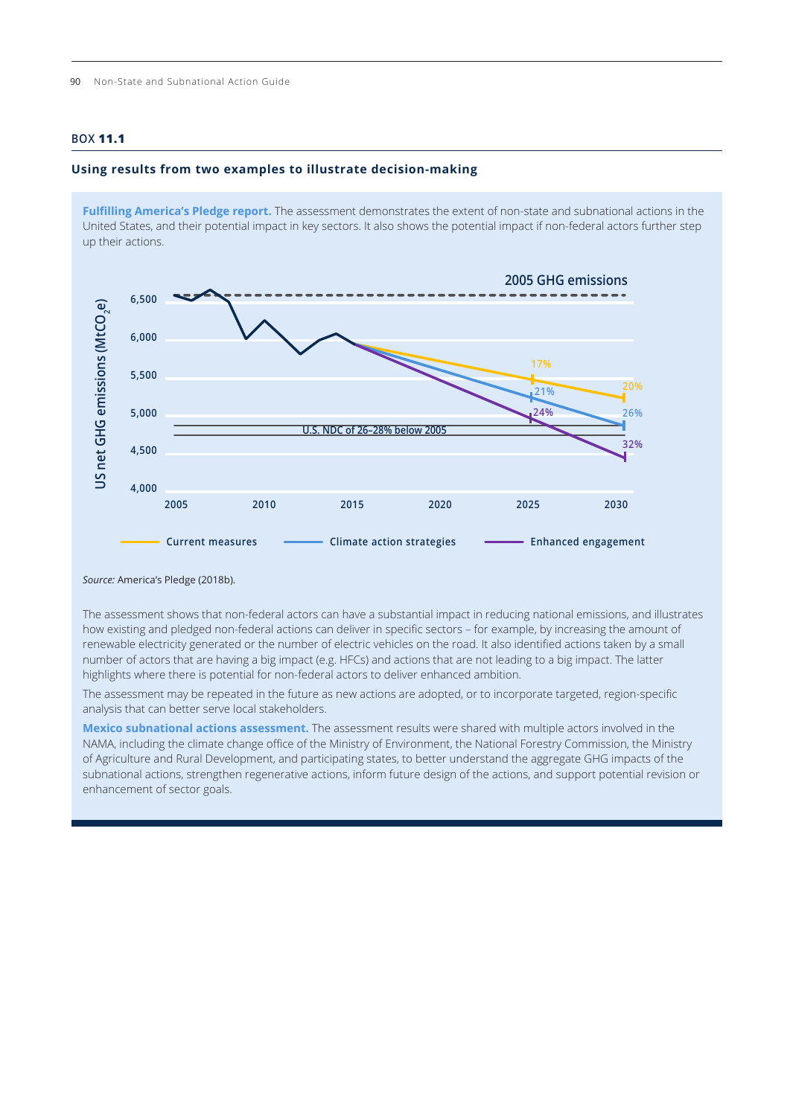### <span id="page-4-0"></span>**BOX 11.1**

#### **Using results from two examples to illustrate decision-making**

**Fulfilling America's Pledge report.** The assessment demonstrates the extent of non-state and subnational actions in the United States, and their potential impact in key sectors. It also shows the potential impact if non-federal actors further step up their actions.



*Source:* America's Pledge (2018b).

The assessment shows that non-federal actors can have a substantial impact in reducing national emissions, and illustrates how existing and pledged non-federal actions can deliver in specific sectors – for example, by increasing the amount of renewable electricity generated or the number of electric vehicles on the road. It also identified actions taken by a small number of actors that are having a big impact (e.g. HFCs) and actions that are not leading to a big impact. The latter highlights where there is potential for non-federal actors to deliver enhanced ambition.

The assessment may be repeated in the future as new actions are adopted, or to incorporate targeted, region-specific analysis that can better serve local stakeholders.

**Mexico subnational actions assessment.** The assessment results were shared with multiple actors involved in the NAMA, including the climate change office of the Ministry of Environment, the National Forestry Commission, the Ministry of Agriculture and Rural Development, and participating states, to better understand the aggregate GHG impacts of the subnational actions, strengthen regenerative actions, inform future design of the actions, and support potential revision or enhancement of sector goals.